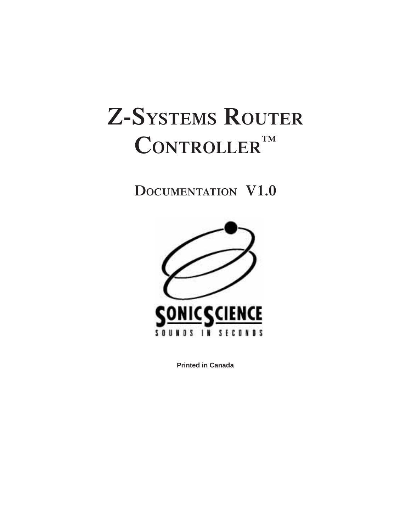# **Z-SYSTEMS ROUTER CONTROLLER ™**

**DOCUMENTATION V1.0**



**Printed in Canada**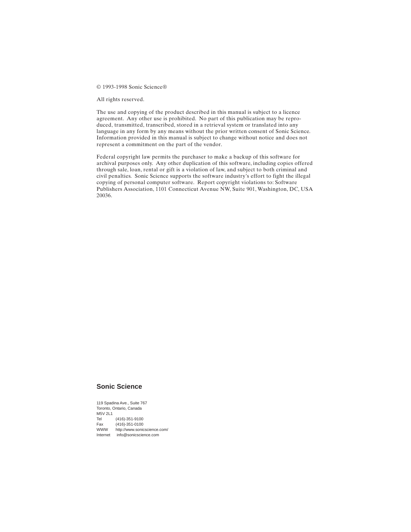© 1993-1998 Sonic Science®

All rights reserved.

The use and copying of the product described in this manual is subject to a licence agreement. Any other use is prohibited. No part of this publication may be reproduced, transmitted, transcribed, stored in a retrieval system or translated into any language in any form by any means without the prior written consent of Sonic Science. Information provided in this manual is subject to change without notice and does not represent a commitment on the part of the vendor.

Federal copyright law permits the purchaser to make a backup of this software for archival purposes only. Any other duplication of this software, including copies offered through sale, loan, rental or gift is a violation of law, and subject to both criminal and civil penalties. Sonic Science supports the software industry's effort to fight the illegal copying of personal computer software. Report copyright violations to: Software Publishers Association, 1101 Connecticut Avenue NW, Suite 901, Washington, DC, USA 20036.

#### **Sonic Science**

119 Spadina Ave., Suite 767 Toronto, Ontario, Canada M5V 2L1 Tel (416)-351-9100<br>Fax (416)-351-0100 Fax (416)-351-0100<br>WWW http://www.sonic http://www.sonicscience.com/ Internet info@sonicscience.com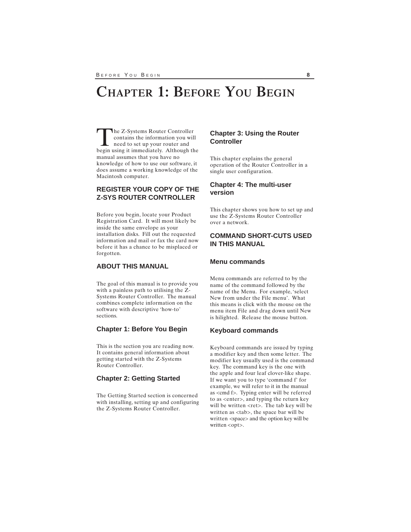# **CHAPTER 1: BEFORE YOU BEGIN**

The Z-Systems Router Controller<br>
contains the information you wil<br>
need to set up your router and<br>
begin using it immediately. Although the contains the information you will begin using it immediately. Although the manual assumes that you have no knowledge of how to use our software, it does assume a working knowledge of the Macintosh computer.

# **REGISTER YOUR COPY OF THE Z-SYS ROUTER CONTROLLER**

Before you begin, locate your Product Registration Card. It will most likely be inside the same envelope as your installation disks. Fill out the requested information and mail or fax the card now before it has a chance to be misplaced or forgotten.

# **ABOUT THIS MANUAL**

The goal of this manual is to provide you with a painless path to utilising the Z-Systems Router Controller. The manual combines complete information on the software with descriptive 'how-to' sections.

#### **Chapter 1: Before You Begin**

This is the section you are reading now. It contains general information about getting started with the Z-Systems Router Controller.

#### **Chapter 2: Getting Started**

The Getting Started section is concerned with installing, setting up and configuring the Z-Systems Router Controller.

### **Chapter 3: Using the Router Controller**

This chapter explains the general operation of the Router Controller in a single user configuration.

## **Chapter 4: The multi-user version**

This chapter shows you how to set up and use the Z-Systems Router Controller over a network.

# **COMMAND SHORT-CUTS USED IN THIS MANUAL**

### **Menu commands**

Menu commands are referred to by the name of the command followed by the name of the Menu. For example, 'select New from under the File menu'. What this means is click with the mouse on the menu item File and drag down until New is hilighted. Release the mouse button.

#### **Keyboard commands**

Keyboard commands are issued by typing a modifier key and then some letter. The modifier key usually used is the command key. The command key is the one with the apple and four leaf clover-like shape. If we want you to type 'command f' for example, we will refer to it in the manual as <cmd f>. Typing enter will be referred to as <enter>, and typing the return key will be written <ret>. The tab key will be written as <tab>, the space bar will be written <space> and the option key will be written <opt>.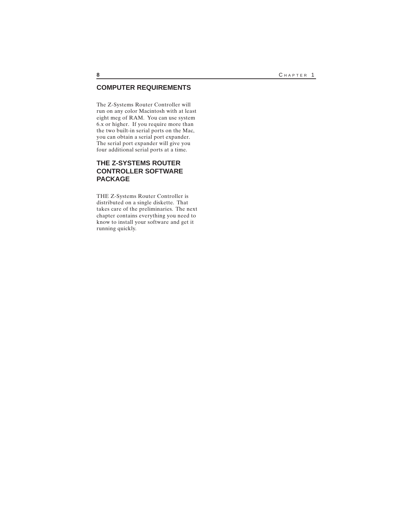# **COMPUTER REQUIREMENTS**

The Z-Systems Router Controller will run on any color Macintosh with at least eight meg of RAM. You can use system 6.x or higher. If you require more than the two built-in serial ports on the Mac, you can obtain a serial port expander. The serial port expander will give you four additional serial ports at a time.

# **THE Z-SYSTEMS ROUTER CONTROLLER SOFTWARE PACKAGE**

THE Z-Systems Router Controller is distributed on a single diskette. That takes care of the preliminaries. The next chapter contains everything you need to know to install your software and get it running quickly.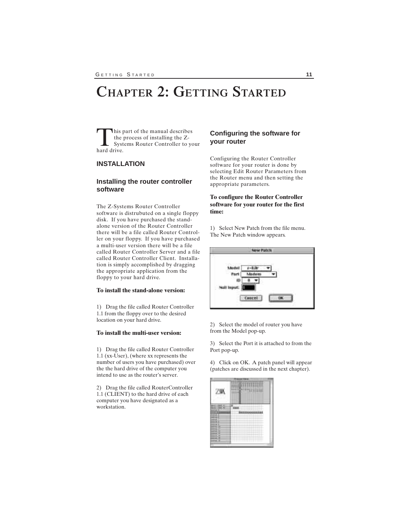# **CHAPTER 2: GETTING STARTED**

This part of the manual describes<br>the process of installing the Z-<br>Systems Router Controller to your<br>hard drive. the process of installing the Zhard drive.

### **INSTALLATION**

# **Installing the router controller software**

The Z-Systems Router Controller software is distrubuted on a single floppy disk. If you have purchased the standalone version of the Router Controller there will be a file called Router Controller on your floppy. If you have purchased a multi-user version there will be a file called Router Controller Server and a file called Router Controller Client. Installation is simply accomplished by dragging the appropriate application from the floppy to your hard drive.

#### **To install the stand-alone version:**

1) Drag the file called Router Controller 1.1 from the floppy over to the desired location on your hard drive.

#### **To install the multi-user version:**

1) Drag the file called Router Controller 1.1 (xx-User), (where xx represents the number of users you have purchased) over the the hard drive of the computer you intend to use as the router's server.

2) Drag the file called RouterController 1.1 (CLIENT) to the hard drive of each computer you have designated as a workstation.

# **Configuring the software for your router**

Configuring the Router Controller software for your router is done by selecting Edit Router Parameters from the Router menu and then setting the appropriate parameters.

#### **To configure the Router Controller software for your router for the first time:**

1) Select New Patch from the file menu. The New Patch window appears.



2) Select the model of router you have from the Model pop-up.

3) Select the Port it is attached to from the Port pop-up.

4) Click on OK. A patch panel will appear (patches are discussed in the next chapter).

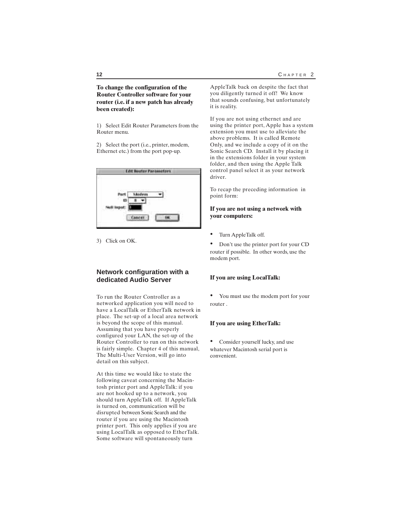#### **To change the configuration of the Router Controller software for your router (i.e. if a new patch has already been created):**

1) Select Edit Router Parameters from the Router menu.

2) Select the port (i.e., printer, modem, Ethernet etc.) from the port pop-up.

| ш | <b>STEP</b><br>£<br>٤ |
|---|-----------------------|
|   |                       |

3) Click on OK.

# **Network configuration with a dedicated Audio Server**

To run the Router Controller as a networked application you will need to have a LocalTalk or EtherTalk network in place. The set-up of a local area network is beyond the scope of this manual. Assuming that you have properly configured your LAN, the set-up of the Router Controller to run on this network is fairly simple. Chapter 4 of this manual, The Multi-User Version, will go into detail on this subject.

At this time we would like to state the following caveat concerning the Macintosh printer port and AppleTalk: if you are not hooked up to a network, you should turn AppleTalk off. If AppleTalk is turned on, communication will be disrupted between Sonic Search and the router if you are using the Macintosh printer port. This only applies if you are using LocalTalk as opposed to EtherTalk. Some software will spontaneously turn

AppleTalk back on despite the fact that you diligently turned it off! We know that sounds confusing, but unfortunately it is reality.

If you are not using ethernet and are using the printer port, Apple has a system extension you must use to alleviate the above problems. It is called Remote Only, and we include a copy of it on the Sonic Search CD. Install it by placing it in the extensions folder in your system folder, and then using the Apple Talk control panel select it as your network driver.

To recap the preceding information in point form:

#### **If you are not using a network with your computers:**

• Turn AppleTalk off.

• Don't use the printer port for your CD router if possible. In other words, use the modem port.

#### **If you are using LocalTalk:**

• You must use the modem port for your router .

#### **If you are using EtherTalk:**

• Consider yourself lucky, and use whatever Macintosh serial port is convenient.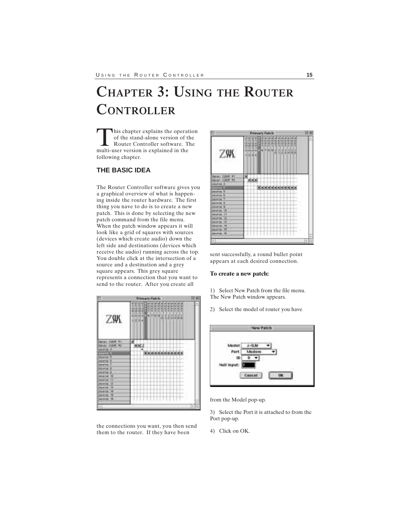# **CHAPTER 3: USING THE ROUTER CONTROLLER**

This chapter explains the operation<br>of the stand-alone version of the<br>Router Controller software. The<br>multi-user version is explained in the of the stand-alone version of the Router Controller software. The multi-user version is explained in the following chapter.

# **THE BASIC IDEA**

The Router Controller software gives you a graphical overview of what is happening inside the router hardware. The first thing you nave to do is to create a new patch. This is done by selecting the new patch command from the file menu. When the patch window appears it will look like a grid of squares with sources (devices which create audio) down the left side and destinations (devices which receive the audio) running across the top. You double click at the intersection of a source and a destination and a grey square appears. This grey square represents a connection that you want to send to the router. After you create all



the connections you want, you then send them to the router. If they have been

|                                                                                                                                 | <b>Frimary Folicis</b>                                                               |   |
|---------------------------------------------------------------------------------------------------------------------------------|--------------------------------------------------------------------------------------|---|
| ZW.                                                                                                                             | Ë<br>朧<br>钼<br>121201<br>I<br>t<br>gith<br>42728<br>al al al<br>110<br>š<br>$1134 +$ | ۰ |
| Per 139<br>www. Client was<br>HARVE 3<br>. .<br><b>DESCRIPTION</b><br><b>JOURNAL TO</b><br><b><i>EDUCE</i></b><br><b>DESTRE</b> | <b>Republika Administrativ</b>                                                       |   |
| <b>BIFATOS TE</b><br>11                                                                                                         |                                                                                      |   |
| 10.54<br>0020104<br>100,000<br><b>IRSESE</b>                                                                                    | т<br>I<br>È                                                                          |   |
| <b>BOLIVIER</b><br>37                                                                                                           |                                                                                      | w |

sent successfully, a round bullet point appears at each desired connection.

#### **To create a new patch:**

1) Select New Patch from the file menu. The New Patch window appears.

2) Select the model of router you have



from the Model pop-up.

3) Select the Port it is attached to from the Port pop-up.

4) Click on OK.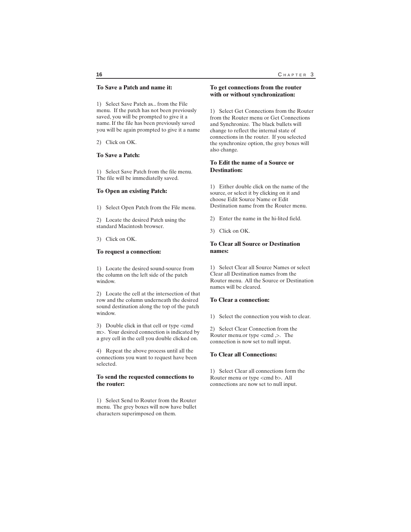#### **To Save a Patch and name it:**

1) Select Save Patch as... from the File menu. If the patch has not been previously saved, you will be prompted to give it a name. If the file has been previously saved you will be again prompted to give it a name

2) Click on OK.

#### **To Save a Patch:**

1) Select Save Patch from the file menu. The file will be immediatelly saved.

#### **To Open an existing Patch:**

1) Select Open Patch from the File menu.

2) Locate the desired Patch using the standard Macintosh browser.

3) Click on OK.

#### **To request a connection:**

1) Locate the desired sound-source from the column on the left side of the patch window.

2) Locate the cell at the intersection of that row and the column underneath the desired sound destination along the top of the patch window.

3) Double click in that cell or type <cmd m>. Your desired connection is indicated by a grey cell in the cell you double clicked on.

4) Repeat the above process until all the connections you want to request have been selected.

#### **To send the requested connections to the router:**

1) Select Send to Router from the Router menu. The grey boxes will now have bullet characters superimposed on them.

#### **To get connections from the router with or without synchronization:**

1) Select Get Connections from the Router from the Router menu or Get Connections and Synchronize. The black bullets will change to reflect the internal state of connections in the router. If you selected the synchronize option, the grey boxes will also change.

#### **To Edit the name of a Source or Destination:**

1) Either double click on the name of the source, or select it by clicking on it and choose Edit Source Name or Edit Destination name from the Router menu.

2) Enter the name in the hi-lited field.

3) Click on OK.

#### **To Clear all Source or Destination names:**

1) Select Clear all Source Names or select Clear all Destination names from the Router menu. All the Source or Destination names will be cleared.

#### **To Clear a connection:**

1) Select the connection you wish to clear.

2) Select Clear Connection from the Router menu.or type <cmd ,>. The connection is now set to null input.

#### **To Clear all Connections:**

1) Select Clear all connections form the Router menu or type <cmd b>. All connections are now set to null input.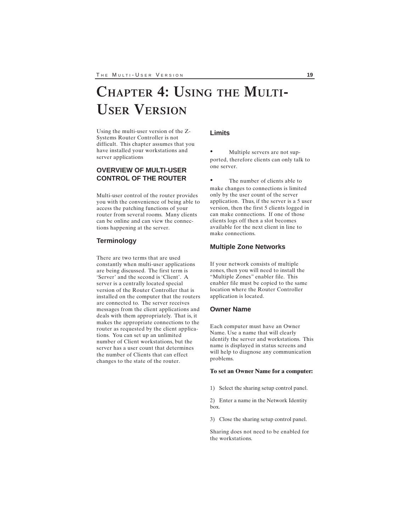# **CHAPTER 4: USING THE MULTI-USER VERSION**

Using the multi-user version of the Z-Systems Router Controller is not difficult. This chapter assumes that you have installed your workstations and server applications

# **OVERVIEW OF MULTI-USER CONTROL OF THE ROUTER**

Multi-user control of the router provides you with the convenience of being able to access the patching functions of your router from several rooms. Many clients can be online and can view the connections happening at the server.

### **Terminology**

There are two terms that are used constantly when multi-user applications are being discussed. The first term is 'Server' and the second is 'Client'. A server is a centrally located special version of the Router Controller that is installed on the computer that the routers are connected to. The server receives messages from the client applications and deals with them appropriately. That is, it makes the appropriate connections to the router as requested by the client applications. You can set up an unlimited number of Client workstations, but the server has a user count that determines the number of Clients that can effect changes to the state of the router.

#### **Limits**

Multiple servers are not supported, therefore clients can only talk to one server.

The number of clients able to make changes to connections is limited only by the user count of the server application. Thus, if the server is a 5 user version, then the first 5 clients logged in can make connections. If one of those clients logs off then a slot becomes available for the next client in line to make connections.

#### **Multiple Zone Networks**

If your network consists of multiple zones, then you will need to install the "Multiple Zones" enabler file. This enabler file must be copied to the same location where the Router Controller application is located.

#### **Owner Name**

Each computer must have an Owner Name. Use a name that will clearly identify the server and workstations. This name is displayed in status screens and will help to diagnose any communication problems.

#### **To set an Owner␣ Name for a computer:**

1) Select the sharing setup control panel.

2) Enter a name in the Network Identity box.

3) Close the sharing setup control panel.

Sharing does not need to be enabled for the workstations.